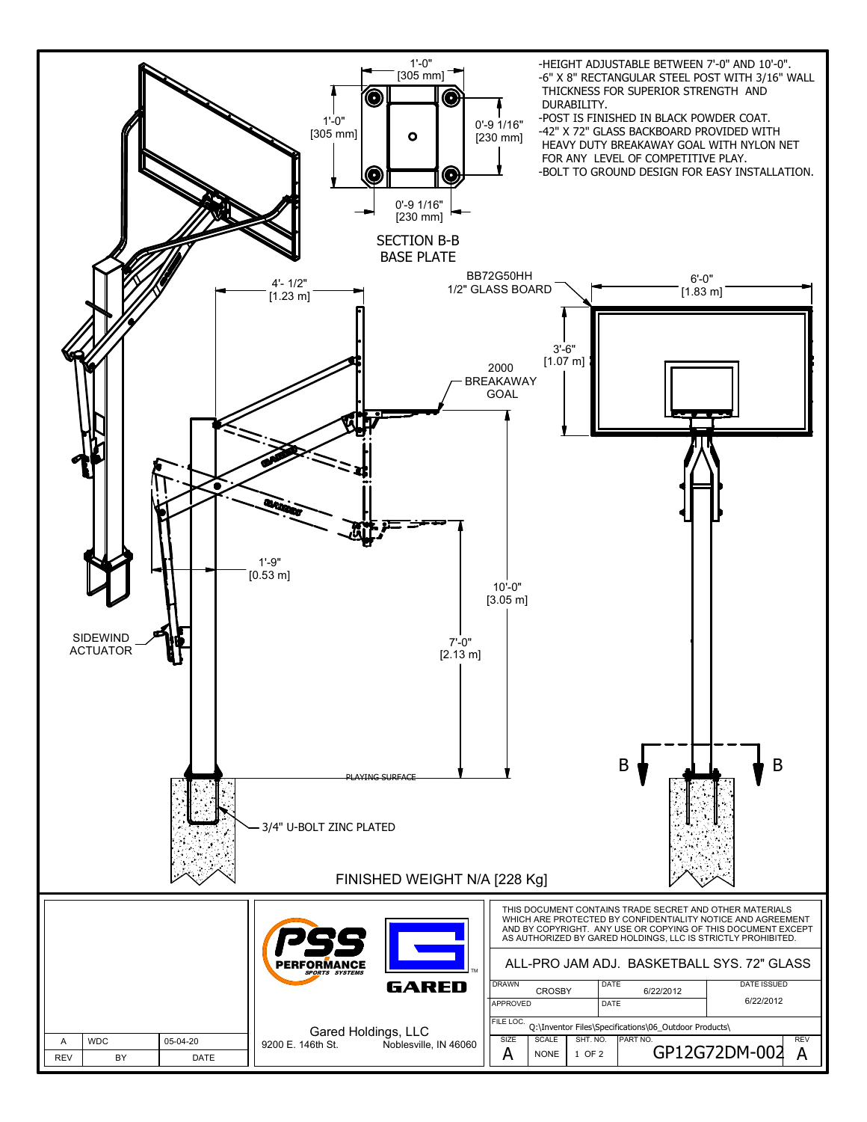